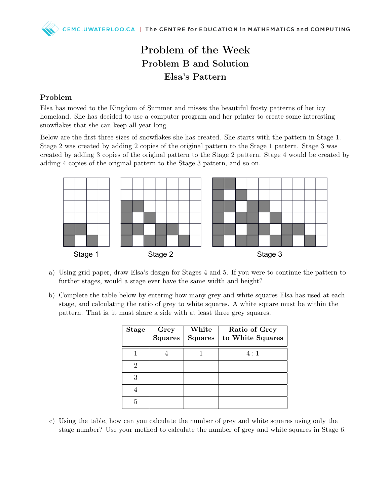## Problem of the Week Problem B and Solution Elsa's Pattern

## Problem

Elsa has moved to the Kingdom of Summer and misses the beautiful frosty patterns of her icy homeland. She has decided to use a computer program and her printer to create some interesting snowflakes that she can keep all year long.

Below are the first three sizes of snowflakes she has created. She starts with the pattern in Stage 1. Stage 2 was created by adding 2 copies of the original pattern to the Stage 1 pattern. Stage 3 was created by adding 3 copies of the original pattern to the Stage 2 pattern. Stage 4 would be created by adding 4 copies of the original pattern to the Stage 3 pattern, and so on.



- a) Using grid paper, draw Elsa's design for Stages 4 and 5. If you were to continue the pattern to further stages, would a stage ever have the same width and height?
- b) Complete the table below by entering how many grey and white squares Elsa has used at each stage, and calculating the ratio of grey to white squares. A white square must be within the pattern. That is, it must share a side with at least three grey squares.

| <b>Stage</b> | Grey<br>Squares | White<br><b>Squares</b> | Ratio of Grey<br>to White Squares |
|--------------|-----------------|-------------------------|-----------------------------------|
|              |                 |                         | 4:1                               |
| 2            |                 |                         |                                   |
| 3            |                 |                         |                                   |
|              |                 |                         |                                   |
|              |                 |                         |                                   |

c) Using the table, how can you calculate the number of grey and white squares using only the stage number? Use your method to calculate the number of grey and white squares in Stage 6.